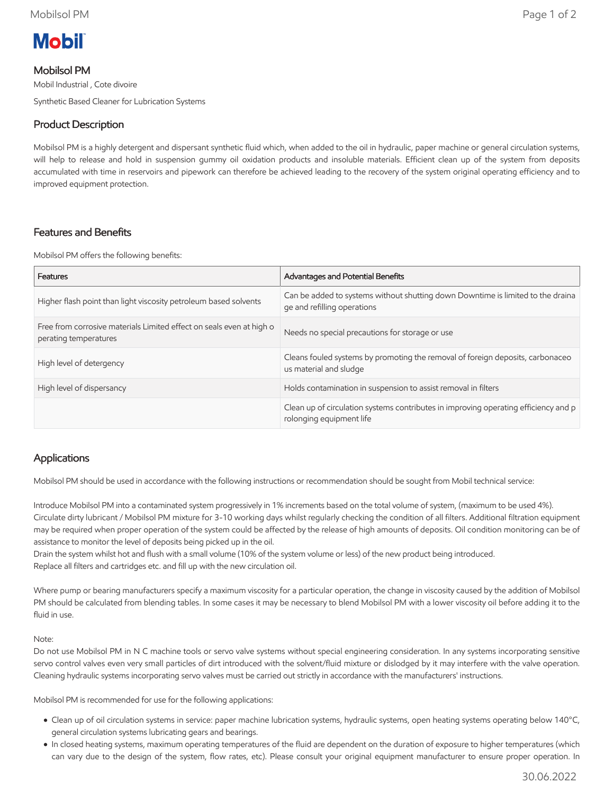

# Mobilsol PM

Mobil Industrial , Cote divoire

Synthetic Based Cleaner for Lubrication Systems

# Product Description

Mobilsol PM is a highly detergent and dispersant synthetic fluid which, when added to the oil in hydraulic, paper machine or general circulation systems, will help to release and hold in suspension gummy oil oxidation products and insoluble materials. Efficient clean up of the system from deposits accumulated with time in reservoirs and pipework can therefore be achieved leading to the recovery of the system original operating efficiency and to improved equipment protection.

### Features and Benefits

Mobilsol PM offers the following benefits:

| Features                                                                                      | Advantages and Potential Benefits                                                                               |
|-----------------------------------------------------------------------------------------------|-----------------------------------------------------------------------------------------------------------------|
| Higher flash point than light viscosity petroleum based solvents                              | Can be added to systems without shutting down Downtime is limited to the draina<br>ge and refilling operations  |
| Free from corrosive materials Limited effect on seals even at high o<br>perating temperatures | Needs no special precautions for storage or use                                                                 |
| High level of detergency                                                                      | Cleans fouled systems by promoting the removal of foreign deposits, carbonaceo<br>us material and sludge        |
| High level of dispersancy                                                                     | Holds contamination in suspension to assist removal in filters                                                  |
|                                                                                               | Clean up of circulation systems contributes in improving operating efficiency and p<br>rolonging equipment life |

## Applications

Mobilsol PM should be used in accordance with the following instructions or recommendation should be sought from Mobil technical service:

Introduce Mobilsol PM into a contaminated system progressively in 1% increments based on the total volume of system, (maximum to be used 4%). Circulate dirty lubricant / Mobilsol PM mixture for 3-10 working days whilst regularly checking the condition of all filters. Additional filtration equipment may be required when proper operation of the system could be affected by the release of high amounts of deposits. Oil condition monitoring can be of assistance to monitor the level of deposits being picked up in the oil.

Drain the system whilst hot and flush with a small volume (10% of the system volume or less) of the new product being introduced. Replace all filters and cartridges etc. and fill up with the new circulation oil.

Where pump or bearing manufacturers specify a maximum viscosity for a particular operation, the change in viscosity caused by the addition of Mobilsol PM should be calculated from blending tables. In some cases it may be necessary to blend Mobilsol PM with a lower viscosity oil before adding it to the fluid in use.

#### Note:

Do not use Mobilsol PM in N C machine tools or servo valve systems without special engineering consideration. In any systems incorporating sensitive servo control valves even very small particles of dirt introduced with the solvent/fluid mixture or dislodged by it may interfere with the valve operation. Cleaning hydraulic systems incorporating servo valves must be carried out strictly in accordance with the manufacturers' instructions.

Mobilsol PM is recommended for use for the following applications:

- Clean up of oil circulation systems in service: paper machine lubrication systems, hydraulic systems, open heating systems operating below 140°C, general circulation systems lubricating gears and bearings.
- In closed heating systems, maximum operating temperatures of the fluid are dependent on the duration of exposure to higher temperatures (which can vary due to the design of the system, flow rates, etc). Please consult your original equipment manufacturer to ensure proper operation. In